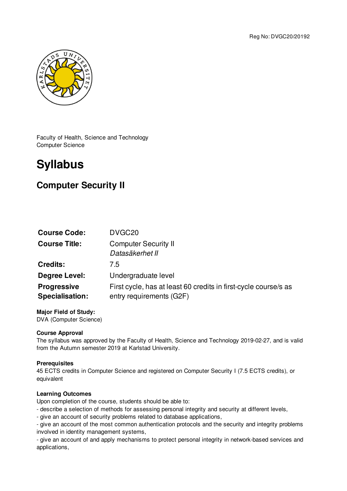

Faculty of Health, Science and Technology Computer Science

# **Syllabus**

# **Computer Security II**

| <b>Course Code:</b>                          | DVGC <sub>20</sub>                                                                          |
|----------------------------------------------|---------------------------------------------------------------------------------------------|
| <b>Course Title:</b>                         | <b>Computer Security II</b><br>Datasäkerhet II                                              |
| <b>Credits:</b>                              | 7.5                                                                                         |
| Degree Level:                                | Undergraduate level                                                                         |
| <b>Progressive</b><br><b>Specialisation:</b> | First cycle, has at least 60 credits in first-cycle course/s as<br>entry requirements (G2F) |

**Major Field of Study:** DVA (Computer Science)

# **Course Approval**

The syllabus was approved by the Faculty of Health, Science and Technology 2019-02-27, and is valid from the Autumn semester 2019 at Karlstad University.

# **Prerequisites**

45 ECTS credits in Computer Science and registered on Computer Security I (7.5 ECTS credits), or equivalent

# **Learning Outcomes**

Upon completion of the course, students should be able to:

- describe a selection of methods for assessing personal integrity and security at different levels,
- give an account of security problems related to database applications,

- give an account of the most common authentication protocols and the security and integrity problems involved in identity management systems,

- give an account of and apply mechanisms to protect personal integrity in network-based services and applications,